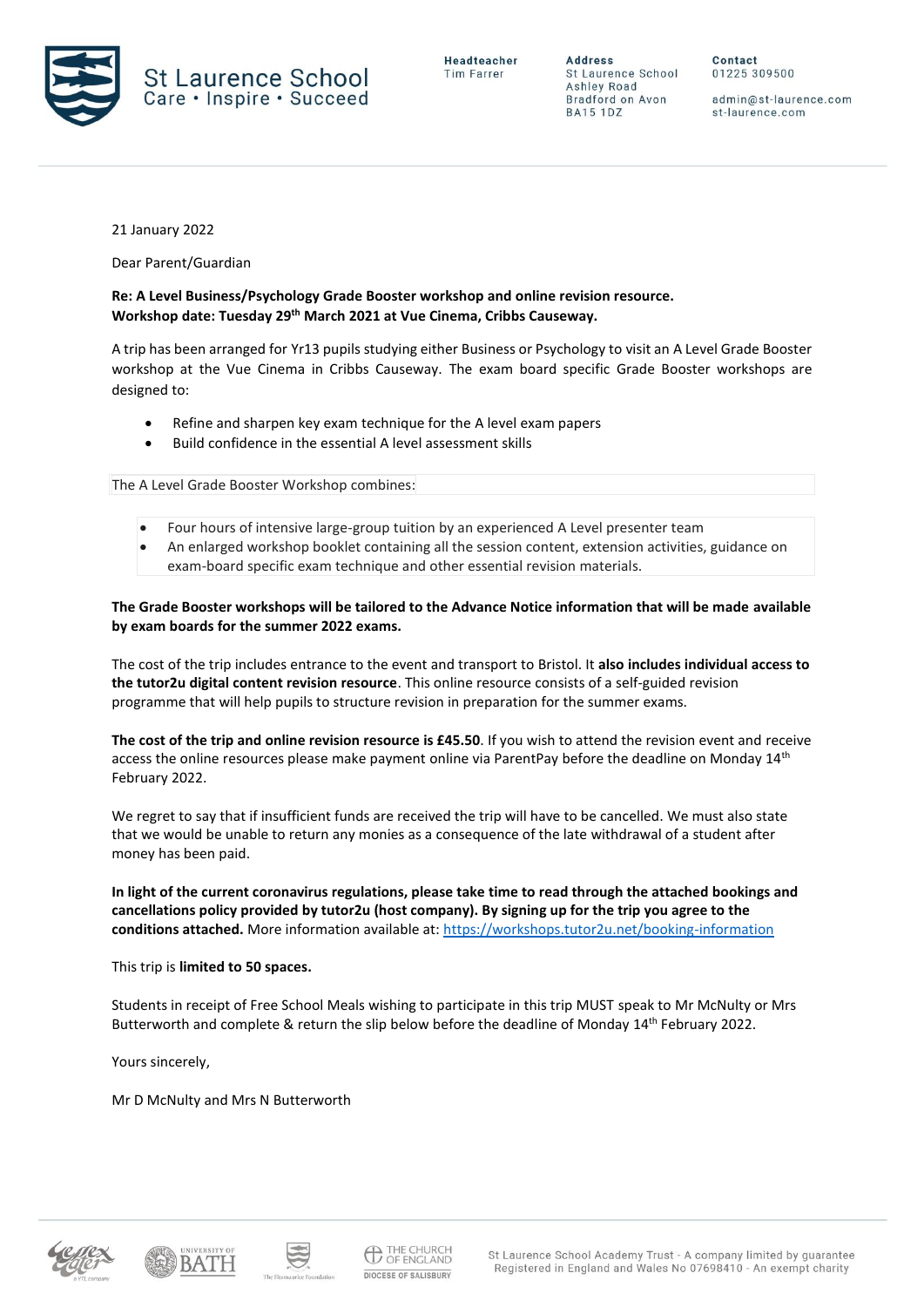

**Address** St Laurence School Ashley Road Bradford on Avon **BA15 1DZ** 

Contact 01225 309500

admin@st-laurence.com st-laurence.com

21 January 2022

Dear Parent/Guardian

**Re: A Level Business/Psychology Grade Booster workshop and online revision resource. Workshop date: Tuesday 29 th March 2021 at Vue Cinema, Cribbs Causeway.** 

A trip has been arranged for Yr13 pupils studying either Business or Psychology to visit an A Level Grade Booster workshop at the Vue Cinema in Cribbs Causeway. The exam board specific Grade Booster workshops are designed to:

- Refine and sharpen key exam technique for the A level exam papers
- Build confidence in the essential A level assessment skills

The A Level Grade Booster Workshop combines:

- Four hours of intensive large-group tuition by an experienced A Level presenter team
- An enlarged workshop booklet containing all the session content, extension activities, guidance on exam-board specific exam technique and other essential revision materials.

## **The Grade Booster workshops will be tailored to the Advance Notice information that will be made available by exam boards for the summer 2022 exams.**

The cost of the trip includes entrance to the event and transport to Bristol. It **also includes individual access to the tutor2u digital content revision resource**. This online resource consists of a self-guided revision programme that will help pupils to structure revision in preparation for the summer exams.

**The cost of the trip and online revision resource is £45.50**. If you wish to attend the revision event and receive access the online resources please make payment online via ParentPay before the deadline on Monday 14<sup>th</sup> February 2022.

We regret to say that if insufficient funds are received the trip will have to be cancelled. We must also state that we would be unable to return any monies as a consequence of the late withdrawal of a student after money has been paid.

**In light of the current coronavirus regulations, please take time to read through the attached bookings and cancellations policy provided by tutor2u (host company). By signing up for the trip you agree to the conditions attached.** More information available at:<https://workshops.tutor2u.net/booking-information>

This trip is **limited to 50 spaces.** 

Students in receipt of Free School Meals wishing to participate in this trip MUST speak to Mr McNulty or Mrs Butterworth and complete & return the slip below before the deadline of Monday 14<sup>th</sup> February 2022.

Yours sincerely,

Mr D McNulty and Mrs N Butterworth